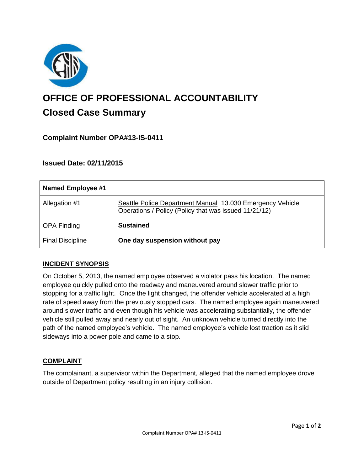

# **OFFICE OF PROFESSIONAL ACCOUNTABILITY Closed Case Summary**

## **Complaint Number OPA#13-IS-0411**

## **Issued Date: 02/11/2015**

| <b>Named Employee #1</b> |                                                                                                                    |
|--------------------------|--------------------------------------------------------------------------------------------------------------------|
| Allegation #1            | Seattle Police Department Manual 13.030 Emergency Vehicle<br>Operations / Policy (Policy that was issued 11/21/12) |
| <b>OPA Finding</b>       | <b>Sustained</b>                                                                                                   |
| <b>Final Discipline</b>  | One day suspension without pay                                                                                     |

#### **INCIDENT SYNOPSIS**

On October 5, 2013, the named employee observed a violator pass his location. The named employee quickly pulled onto the roadway and maneuvered around slower traffic prior to stopping for a traffic light. Once the light changed, the offender vehicle accelerated at a high rate of speed away from the previously stopped cars. The named employee again maneuvered around slower traffic and even though his vehicle was accelerating substantially, the offender vehicle still pulled away and nearly out of sight. An unknown vehicle turned directly into the path of the named employee's vehicle. The named employee's vehicle lost traction as it slid sideways into a power pole and came to a stop.

#### **COMPLAINT**

The complainant, a supervisor within the Department, alleged that the named employee drove outside of Department policy resulting in an injury collision.